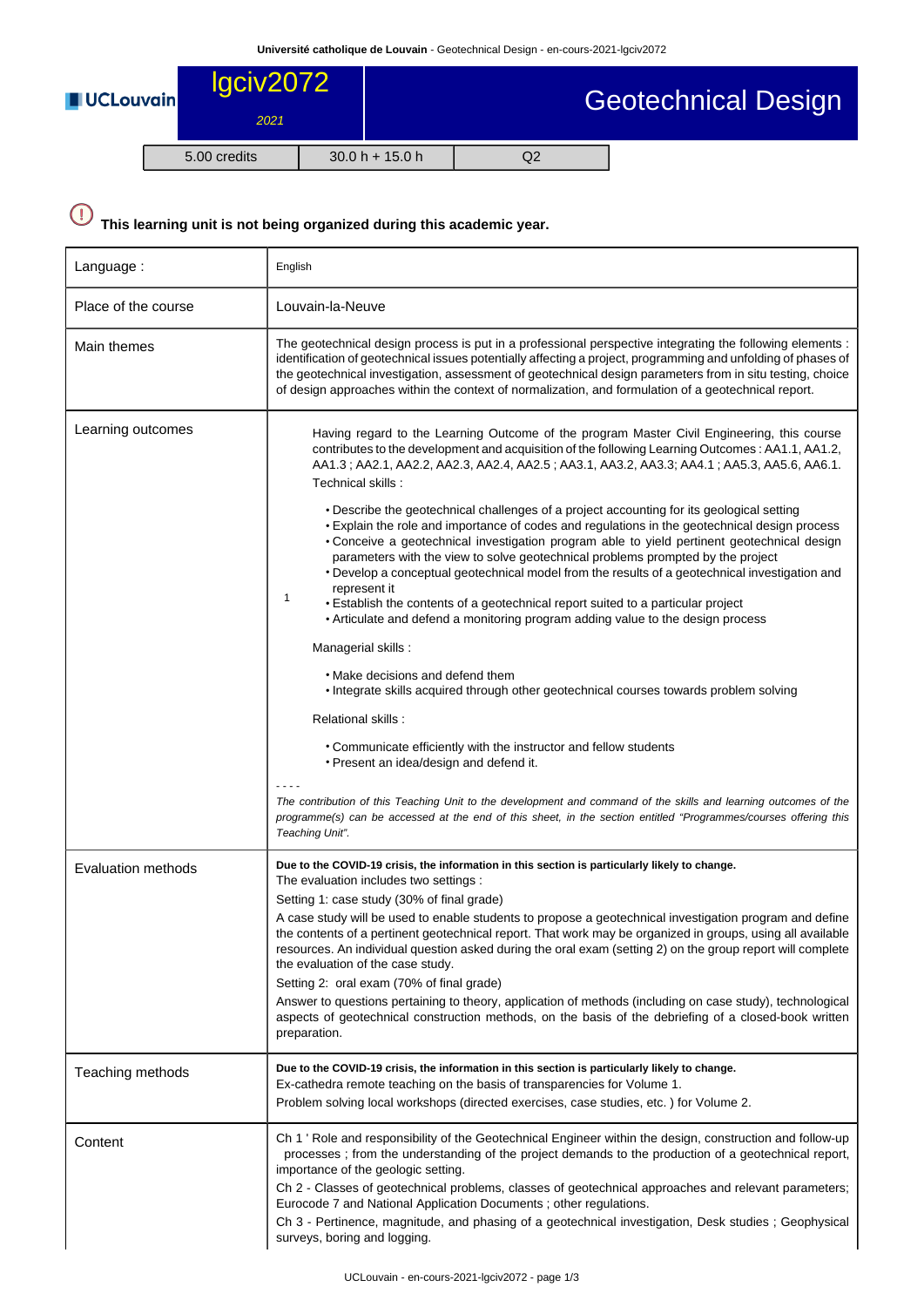| <b>UCLouvain</b> | lgciv2072    |  | Geotechnical Design |    |  |  |
|------------------|--------------|--|---------------------|----|--|--|
|                  | 2021         |  |                     |    |  |  |
|                  | 5.00 credits |  | $30.0 h + 15.0 h$   | Q2 |  |  |

## $\bigodot$ **This learning unit is not being organized during this academic year.**

| Language:                 | English                                                                                                                                                                                                                                                                                                                                                                                                                                                                                                                                                                                                                                                                                                                                                                                                                                                                                                                                                                                                                                                                                                                                                                                                                                                                                    |  |  |  |  |
|---------------------------|--------------------------------------------------------------------------------------------------------------------------------------------------------------------------------------------------------------------------------------------------------------------------------------------------------------------------------------------------------------------------------------------------------------------------------------------------------------------------------------------------------------------------------------------------------------------------------------------------------------------------------------------------------------------------------------------------------------------------------------------------------------------------------------------------------------------------------------------------------------------------------------------------------------------------------------------------------------------------------------------------------------------------------------------------------------------------------------------------------------------------------------------------------------------------------------------------------------------------------------------------------------------------------------------|--|--|--|--|
| Place of the course       | Louvain-la-Neuve                                                                                                                                                                                                                                                                                                                                                                                                                                                                                                                                                                                                                                                                                                                                                                                                                                                                                                                                                                                                                                                                                                                                                                                                                                                                           |  |  |  |  |
| Main themes               | The geotechnical design process is put in a professional perspective integrating the following elements :<br>identification of geotechnical issues potentially affecting a project, programming and unfolding of phases of<br>the geotechnical investigation, assessment of geotechnical design parameters from in situ testing, choice<br>of design approaches within the context of normalization, and formulation of a geotechnical report.                                                                                                                                                                                                                                                                                                                                                                                                                                                                                                                                                                                                                                                                                                                                                                                                                                             |  |  |  |  |
| Learning outcomes         | Having regard to the Learning Outcome of the program Master Civil Engineering, this course<br>contributes to the development and acquisition of the following Learning Outcomes: AA1.1, AA1.2,<br>AA1.3; AA2.1, AA2.2, AA2.3, AA2.4, AA2.5; AA3.1, AA3.2, AA3.3; AA4.1; AA5.3, AA5.6, AA6.1.<br>Technical skills:<br>• Describe the geotechnical challenges of a project accounting for its geological setting<br>• Explain the role and importance of codes and regulations in the geotechnical design process<br>• Conceive a geotechnical investigation program able to yield pertinent geotechnical design<br>parameters with the view to solve geotechnical problems prompted by the project<br>• Develop a conceptual geotechnical model from the results of a geotechnical investigation and<br>represent it<br>1<br>. Establish the contents of a geotechnical report suited to a particular project<br>• Articulate and defend a monitoring program adding value to the design process<br>Managerial skills:<br>• Make decisions and defend them<br>• Integrate skills acquired through other geotechnical courses towards problem solving<br>Relational skills :<br>• Communicate efficiently with the instructor and fellow students<br>• Present an idea/design and defend it. |  |  |  |  |
|                           | The contribution of this Teaching Unit to the development and command of the skills and learning outcomes of the<br>programme(s) can be accessed at the end of this sheet, in the section entitled "Programmes/courses offering this<br>Teaching Unit".                                                                                                                                                                                                                                                                                                                                                                                                                                                                                                                                                                                                                                                                                                                                                                                                                                                                                                                                                                                                                                    |  |  |  |  |
| <b>Evaluation methods</b> | Due to the COVID-19 crisis, the information in this section is particularly likely to change.<br>The evaluation includes two settings :<br>Setting 1: case study (30% of final grade)<br>A case study will be used to enable students to propose a geotechnical investigation program and define<br>the contents of a pertinent geotechnical report. That work may be organized in groups, using all available<br>resources. An individual question asked during the oral exam (setting 2) on the group report will complete<br>the evaluation of the case study.<br>Setting 2: oral exam (70% of final grade)<br>Answer to questions pertaining to theory, application of methods (including on case study), technological<br>aspects of geotechnical construction methods, on the basis of the debriefing of a closed-book written<br>preparation.                                                                                                                                                                                                                                                                                                                                                                                                                                       |  |  |  |  |
| Teaching methods          | Due to the COVID-19 crisis, the information in this section is particularly likely to change.<br>Ex-cathedra remote teaching on the basis of transparencies for Volume 1.<br>Problem solving local workshops (directed exercises, case studies, etc.) for Volume 2.                                                                                                                                                                                                                                                                                                                                                                                                                                                                                                                                                                                                                                                                                                                                                                                                                                                                                                                                                                                                                        |  |  |  |  |
| Content                   | Ch 1 ' Role and responsibility of the Geotechnical Engineer within the design, construction and follow-up<br>processes; from the understanding of the project demands to the production of a geotechnical report,<br>importance of the geologic setting.<br>Ch 2 - Classes of geotechnical problems, classes of geotechnical approaches and relevant parameters;<br>Eurocode 7 and National Application Documents ; other regulations.<br>Ch 3 - Pertinence, magnitude, and phasing of a geotechnical investigation, Desk studies; Geophysical<br>surveys, boring and logging.                                                                                                                                                                                                                                                                                                                                                                                                                                                                                                                                                                                                                                                                                                             |  |  |  |  |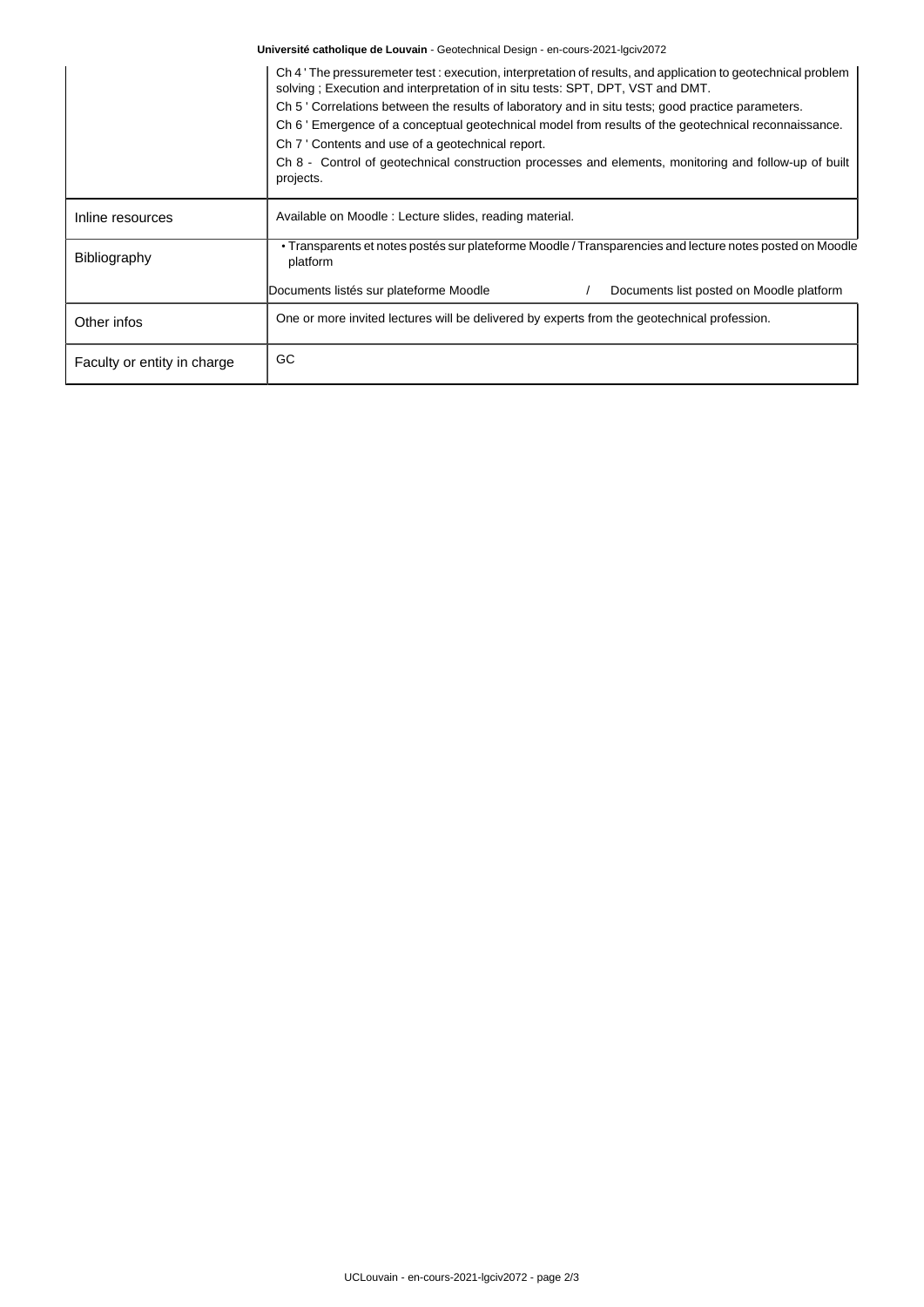**Université catholique de Louvain** - Geotechnical Design - en-cours-2021-lgciv2072

|                             | Ch 4 The pressuremeter test : execution, interpretation of results, and application to geotechnical problem<br>solving; Execution and interpretation of in situ tests: SPT, DPT, VST and DMT.<br>Ch 5 'Correlations between the results of laboratory and in situ tests; good practice parameters.<br>Ch 6 ' Emergence of a conceptual geotechnical model from results of the geotechnical reconnaissance.<br>Ch 7 ' Contents and use of a geotechnical report.<br>Ch 8 - Control of geotechnical construction processes and elements, monitoring and follow-up of built<br>projects. |  |  |  |  |  |
|-----------------------------|---------------------------------------------------------------------------------------------------------------------------------------------------------------------------------------------------------------------------------------------------------------------------------------------------------------------------------------------------------------------------------------------------------------------------------------------------------------------------------------------------------------------------------------------------------------------------------------|--|--|--|--|--|
| Inline resources            | Available on Moodle: Lecture slides, reading material.                                                                                                                                                                                                                                                                                                                                                                                                                                                                                                                                |  |  |  |  |  |
| Bibliography                | • Transparents et notes postés sur plateforme Moodle / Transparencies and lecture notes posted on Moodle<br>platform                                                                                                                                                                                                                                                                                                                                                                                                                                                                  |  |  |  |  |  |
|                             | Documents listés sur plateforme Moodle<br>Documents list posted on Moodle platform                                                                                                                                                                                                                                                                                                                                                                                                                                                                                                    |  |  |  |  |  |
| Other infos                 | One or more invited lectures will be delivered by experts from the geotechnical profession.                                                                                                                                                                                                                                                                                                                                                                                                                                                                                           |  |  |  |  |  |
| Faculty or entity in charge | GC                                                                                                                                                                                                                                                                                                                                                                                                                                                                                                                                                                                    |  |  |  |  |  |